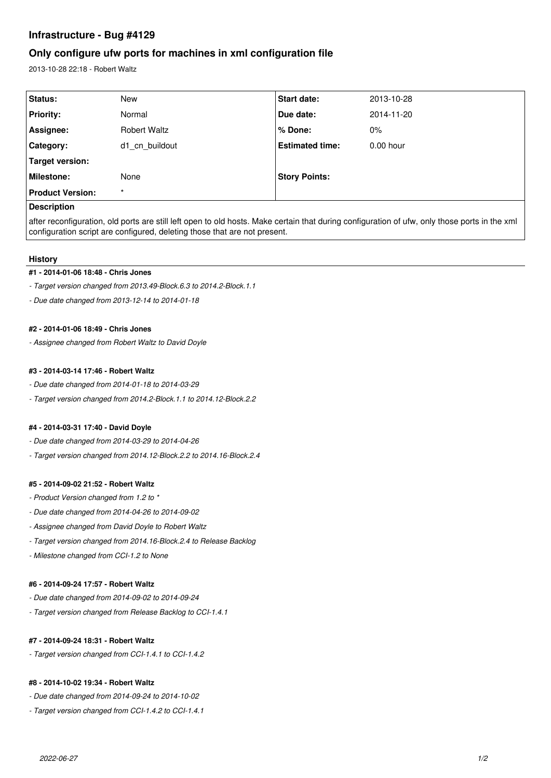# **Infrastructure - Bug #4129**

# **Only configure ufw ports for machines in xml configuration file**

2013-10-28 22:18 - Robert Waltz

| Status:                 | <b>New</b>          | <b>Start date:</b>     | 2013-10-28  |
|-------------------------|---------------------|------------------------|-------------|
| <b>Priority:</b>        | Normal              | Due date:              | 2014-11-20  |
| Assignee:               | <b>Robert Waltz</b> | % Done:                | $0\%$       |
| Category:               | d1 cn buildout      | <b>Estimated time:</b> | $0.00$ hour |
| Target version:         |                     |                        |             |
| Milestone:              | None                | <b>Story Points:</b>   |             |
| <b>Product Version:</b> | $\star$             |                        |             |
| <b>Decorintion</b>      |                     |                        |             |

# **Description**

after reconfiguration, old ports are still left open to old hosts. Make certain that during configuration of ufw, only those ports in the xml configuration script are configured, deleting those that are not present.

#### **History**

#### **#1 - 2014-01-06 18:48 - Chris Jones**

*- Target version changed from 2013.49-Block.6.3 to 2014.2-Block.1.1*

*- Due date changed from 2013-12-14 to 2014-01-18*

## **#2 - 2014-01-06 18:49 - Chris Jones**

*- Assignee changed from Robert Waltz to David Doyle*

## **#3 - 2014-03-14 17:46 - Robert Waltz**

- *Due date changed from 2014-01-18 to 2014-03-29*
- *Target version changed from 2014.2-Block.1.1 to 2014.12-Block.2.2*

#### **#4 - 2014-03-31 17:40 - David Doyle**

- *Due date changed from 2014-03-29 to 2014-04-26*
- *Target version changed from 2014.12-Block.2.2 to 2014.16-Block.2.4*

#### **#5 - 2014-09-02 21:52 - Robert Waltz**

- *Product Version changed from 1.2 to \**
- *Due date changed from 2014-04-26 to 2014-09-02*
- *Assignee changed from David Doyle to Robert Waltz*
- *Target version changed from 2014.16-Block.2.4 to Release Backlog*
- *Milestone changed from CCI-1.2 to None*

#### **#6 - 2014-09-24 17:57 - Robert Waltz**

- *Due date changed from 2014-09-02 to 2014-09-24*
- *Target version changed from Release Backlog to CCI-1.4.1*

#### **#7 - 2014-09-24 18:31 - Robert Waltz**

*- Target version changed from CCI-1.4.1 to CCI-1.4.2*

# **#8 - 2014-10-02 19:34 - Robert Waltz**

- *Due date changed from 2014-09-24 to 2014-10-02*
- *Target version changed from CCI-1.4.2 to CCI-1.4.1*